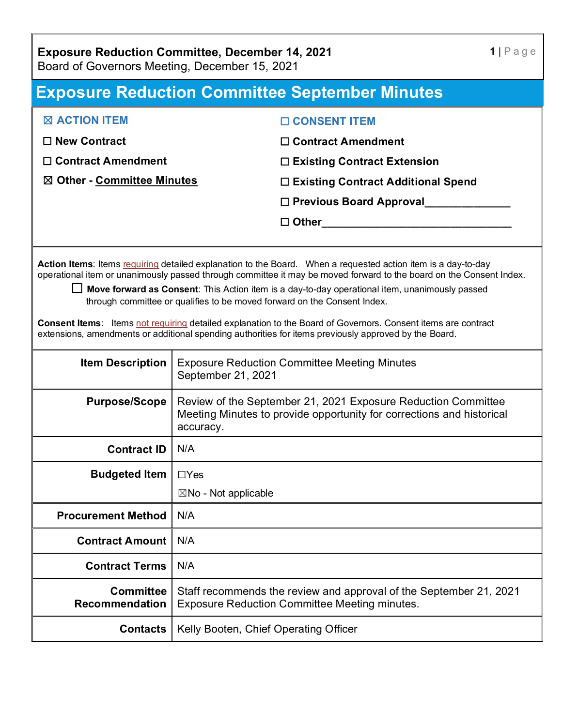# **Exposure Reduction Committee, December 14, 2021**

Board of Governors Meeting, December 15, 2021

# **Exposure Reduction Committee September Minutes**

| $\boxtimes$ ACTION ITEM     | $\Box$ CONSENT ITEM                       |
|-----------------------------|-------------------------------------------|
| $\Box$ New Contract         | $\Box$ Contract Amendment                 |
| $\Box$ Contract Amendment   | $\Box$ Existing Contract Extension        |
| ⊠ Other - Committee Minutes | $\Box$ Existing Contract Additional Spend |
|                             | $\Box$ Previous Board Approval            |
|                             | $\square$ Other                           |
|                             |                                           |

Action Items: Items requiring detailed explanation to the Board. When a requested action item is a day-to-day operational item or unanimously passed through committee it may be moved forward to the board on the Consent Index.

☐ **Move forward as Consent**: This Action item is a day-to-day operational item, unanimously passed through committee or qualifies to be moved forward on the Consent Index.

**Consent Items**: Items not requiring detailed explanation to the Board of Governors. Consent items are contract extensions, amendments or additional spending authorities for items previously approved by the Board.

| <b>Item Description</b>                   | <b>Exposure Reduction Committee Meeting Minutes</b><br>September 21, 2021                                                                           |
|-------------------------------------------|-----------------------------------------------------------------------------------------------------------------------------------------------------|
| <b>Purpose/Scope</b>                      | Review of the September 21, 2021 Exposure Reduction Committee<br>Meeting Minutes to provide opportunity for corrections and historical<br>accuracy. |
| <b>Contract ID</b>                        | N/A                                                                                                                                                 |
| <b>Budgeted Item</b>                      | $\Box$ Yes                                                                                                                                          |
|                                           | $\boxtimes$ No - Not applicable                                                                                                                     |
| <b>Procurement Method</b>                 | N/A                                                                                                                                                 |
| <b>Contract Amount</b>                    | N/A                                                                                                                                                 |
| <b>Contract Terms</b>                     | N/A                                                                                                                                                 |
| <b>Committee</b><br><b>Recommendation</b> | Staff recommends the review and approval of the September 21, 2021<br><b>Exposure Reduction Committee Meeting minutes.</b>                          |
| <b>Contacts</b>                           | Kelly Booten, Chief Operating Officer                                                                                                               |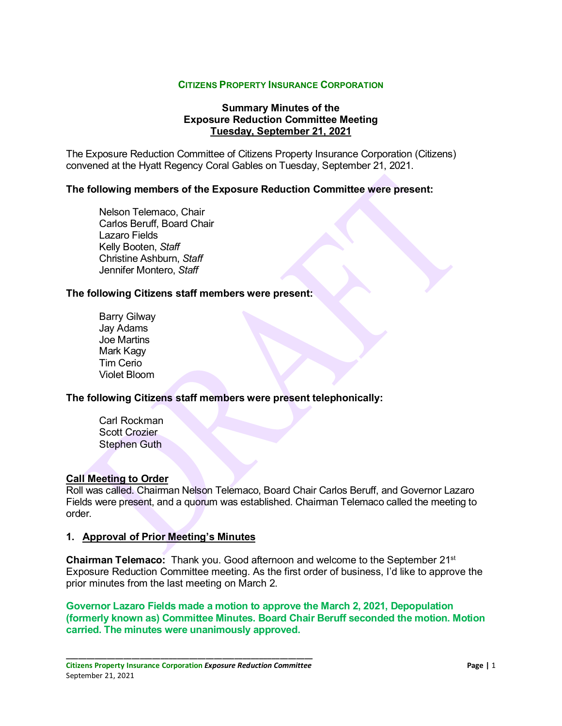#### **CITIZENS PROPERTY INSURANCE CORPORATION**

#### **Summary Minutes of the Exposure Reduction Committee Meeting Tuesday, September 21, 2021**

The Exposure Reduction Committee of Citizens Property Insurance Corporation (Citizens) convened at the Hyatt Regency Coral Gables on Tuesday, September 21, 2021.

#### **The following members of the Exposure Reduction Committee were present:**

Nelson Telemaco, Chair Carlos Beruff, Board Chair Lazaro Fields Kelly Booten, *Staff* Christine Ashburn, *Staff* Jennifer Montero, *Staff*

#### **The following Citizens staff members were present:**

Barry Gilway Jay Adams Joe Martins Mark Kagy Tim Cerio Violet Bloom

#### **The following Citizens staff members were present telephonically:**

Carl Rockman Scott Crozier Stephen Guth

#### **Call Meeting to Order**

Roll was called. Chairman Nelson Telemaco, Board Chair Carlos Beruff, and Governor Lazaro Fields were present, and a quorum was established. Chairman Telemaco called the meeting to order.

#### **1. Approval of Prior Meeting's Minutes**

**Chairman Telemaco:** Thank you. Good afternoon and welcome to the September 21st Exposure Reduction Committee meeting. As the first order of business, I'd like to approve the prior minutes from the last meeting on March 2.

**Governor Lazaro Fields made a motion to approve the March 2, 2021, Depopulation (formerly known as) Committee Minutes. Board Chair Beruff seconded the motion. Motion carried. The minutes were unanimously approved.**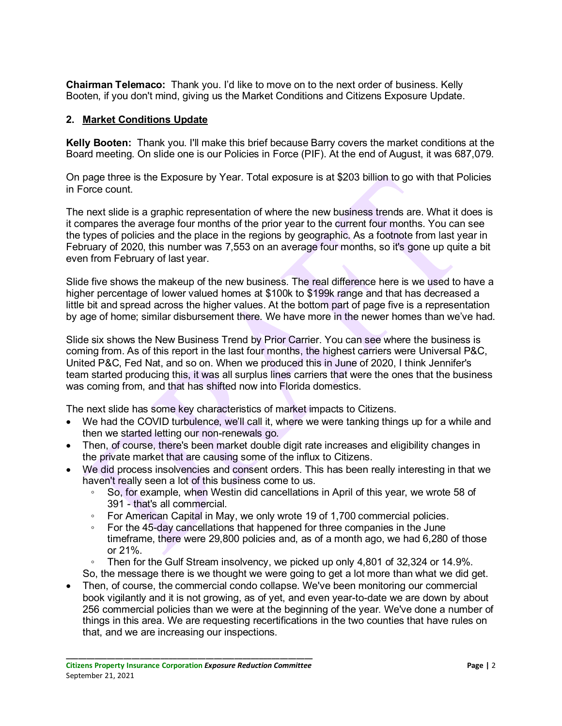**Chairman Telemaco:** Thank you. I'd like to move on to the next order of business. Kelly Booten, if you don't mind, giving us the Market Conditions and Citizens Exposure Update.

# **2. Market Conditions Update**

**Kelly Booten:** Thank you. I'll make this brief because Barry covers the market conditions at the Board meeting. On slide one is our Policies in Force (PIF). At the end of August, it was 687,079.

On page three is the Exposure by Year. Total exposure is at \$203 billion to go with that Policies in Force count.

The next slide is a graphic representation of where the new business trends are. What it does is it compares the average four months of the prior year to the current four months. You can see the types of policies and the place in the regions by geographic. As a footnote from last year in February of 2020, this number was 7,553 on an average four months, so it's gone up quite a bit even from February of last year.

Slide five shows the makeup of the new business. The real difference here is we used to have a higher percentage of lower valued homes at \$100k to \$199k range and that has decreased a little bit and spread across the higher values. At the bottom part of page five is a representation by age of home; similar disbursement there. We have more in the newer homes than we've had.

Slide six shows the New Business Trend by Prior Carrier. You can see where the business is coming from. As of this report in the last four months, the highest carriers were Universal P&C, United P&C, Fed Nat, and so on. When we produced this in June of 2020, I think Jennifer's team started producing this, it was all surplus lines carriers that were the ones that the business was coming from, and that has shifted now into Florida domestics.

The next slide has some key characteristics of market impacts to Citizens.

- We had the COVID turbulence, we'll call it, where we were tanking things up for a while and then we started letting our non-renewals go.
- Then, of course, there's been market double digit rate increases and eligibility changes in the private market that are causing some of the influx to Citizens.
- We did process insolvencies and consent orders. This has been really interesting in that we haven't really seen a lot of this business come to us.
	- So, for example, when Westin did cancellations in April of this year, we wrote 58 of 391 - that's all commercial.
	- For American Capital in May, we only wrote 19 of 1,700 commercial policies.
	- For the 45-day cancellations that happened for three companies in the June timeframe, there were 29,800 policies and, as of a month ago, we had 6,280 of those or 21%.
	- Then for the Gulf Stream insolvency, we picked up only 4,801 of 32,324 or 14.9%.
	- So, the message there is we thought we were going to get a lot more than what we did get.
- Then, of course, the commercial condo collapse. We've been monitoring our commercial book vigilantly and it is not growing, as of yet, and even year-to-date we are down by about 256 commercial policies than we were at the beginning of the year. We've done a number of things in this area. We are requesting recertifications in the two counties that have rules on that, and we are increasing our inspections.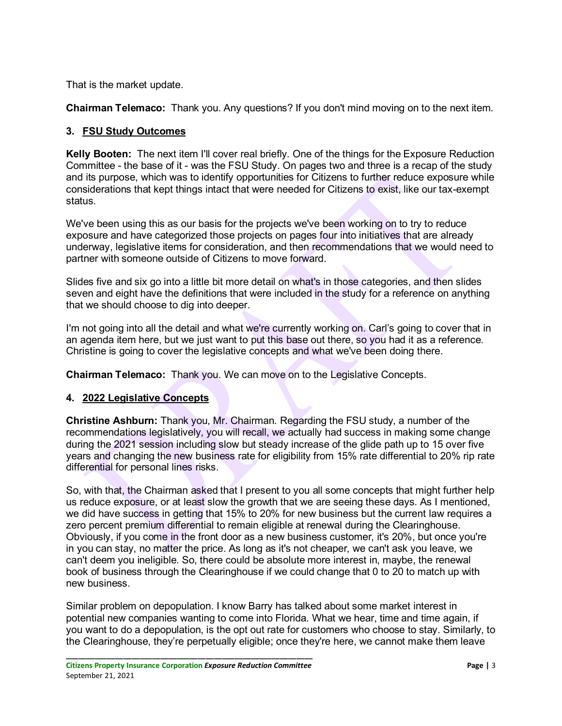That is the market update.

**Chairman Telemaco:** Thank you. Any questions? If you don't mind moving on to the next item.

# **3. FSU Study Outcomes**

**Kelly Booten:** The next item I'll cover real briefly. One of the things for the Exposure Reduction Committee - the base of it - was the FSU Study. On pages two and three is a recap of the study and its purpose, which was to identify opportunities for Citizens to further reduce exposure while considerations that kept things intact that were needed for Citizens to exist, like our tax-exempt status.

We've been using this as our basis for the projects we've been working on to try to reduce exposure and have categorized those projects on pages four into initiatives that are already underway, legislative items for consideration, and then recommendations that we would need to partner with someone outside of Citizens to move forward.

Slides five and six go into a little bit more detail on what's in those categories, and then slides seven and eight have the definitions that were included in the study for a reference on anything that we should choose to dig into deeper.

I'm not going into all the detail and what we're currently working on. Carl's going to cover that in an agenda item here, but we just want to put this base out there, so you had it as a reference. Christine is going to cover the legislative concepts and what we've been doing there.

**Chairman Telemaco:** Thank you. We can move on to the Legislative Concepts.

# **4. 2022 Legislative Concepts**

**Christine Ashburn:** Thank you, Mr. Chairman. Regarding the FSU study, a number of the recommendations legislatively, you will recall, we actually had success in making some change during the 2021 session including slow but steady increase of the glide path up to 15 over five years and changing the new business rate for eligibility from 15% rate differential to 20% rip rate differential for personal lines risks.

So, with that, the Chairman asked that I present to you all some concepts that might further help us reduce exposure, or at least slow the growth that we are seeing these days. As I mentioned, we did have success in getting that 15% to 20% for new business but the current law requires a zero percent premium differential to remain eligible at renewal during the Clearinghouse. Obviously, if you come in the front door as a new business customer, it's 20%, but once you're in you can stay, no matter the price. As long as it's not cheaper, we can't ask you leave, we can't deem you ineligible. So, there could be absolute more interest in, maybe, the renewal book of business through the Clearinghouse if we could change that 0 to 20 to match up with new business.

Similar problem on depopulation. I know Barry has talked about some market interest in potential new companies wanting to come into Florida. What we hear, time and time again, if you want to do a depopulation, is the opt out rate for customers who choose to stay. Similarly, to the Clearinghouse, they're perpetually eligible; once they're here, we cannot make them leave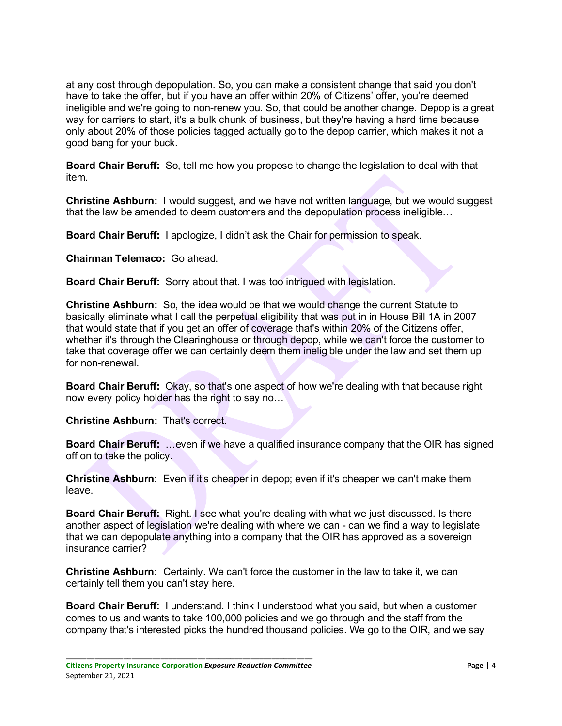at any cost through depopulation. So, you can make a consistent change that said you don't have to take the offer, but if you have an offer within 20% of Citizens' offer, you're deemed ineligible and we're going to non-renew you. So, that could be another change. Depop is a great way for carriers to start, it's a bulk chunk of business, but they're having a hard time because only about 20% of those policies tagged actually go to the depop carrier, which makes it not a good bang for your buck.

**Board Chair Beruff:** So, tell me how you propose to change the legislation to deal with that item.

**Christine Ashburn:** I would suggest, and we have not written language, but we would suggest that the law be amended to deem customers and the depopulation process ineligible…

**Board Chair Beruff:** I apologize, I didn't ask the Chair for permission to speak.

**Chairman Telemaco:** Go ahead.

**Board Chair Beruff:** Sorry about that. I was too intrigued with legislation.

**Christine Ashburn:** So, the idea would be that we would change the current Statute to basically eliminate what I call the perpetual eligibility that was put in in House Bill 1A in 2007 that would state that if you get an offer of coverage that's within 20% of the Citizens offer, whether it's through the Clearinghouse or through depop, while we can't force the customer to take that coverage offer we can certainly deem them ineligible under the law and set them up for non-renewal.

**Board Chair Beruff:** Okay, so that's one aspect of how we're dealing with that because right now every policy holder has the right to say no…

**Christine Ashburn:** That's correct.

**Board Chair Beruff:** …even if we have a qualified insurance company that the OIR has signed off on to take the policy.

**Christine Ashburn:** Even if it's cheaper in depop; even if it's cheaper we can't make them leave.

**Board Chair Beruff:** Right. I see what you're dealing with what we just discussed. Is there another aspect of legislation we're dealing with where we can - can we find a way to legislate that we can depopulate anything into a company that the OIR has approved as a sovereign insurance carrier?

**Christine Ashburn:** Certainly. We can't force the customer in the law to take it, we can certainly tell them you can't stay here.

**Board Chair Beruff:** I understand. I think I understood what you said, but when a customer comes to us and wants to take 100,000 policies and we go through and the staff from the company that's interested picks the hundred thousand policies. We go to the OIR, and we say

**\_\_\_\_\_\_\_\_\_\_\_\_\_\_\_\_\_\_\_\_\_\_\_\_\_\_\_\_\_\_\_\_\_\_\_\_\_\_\_\_\_\_\_\_\_\_\_\_\_\_\_\_\_\_\_\_\_\_\_\_ Citizens Property Insurance Corporation** *Exposure Reduction Committee* **Page |** 4 September 21, 2021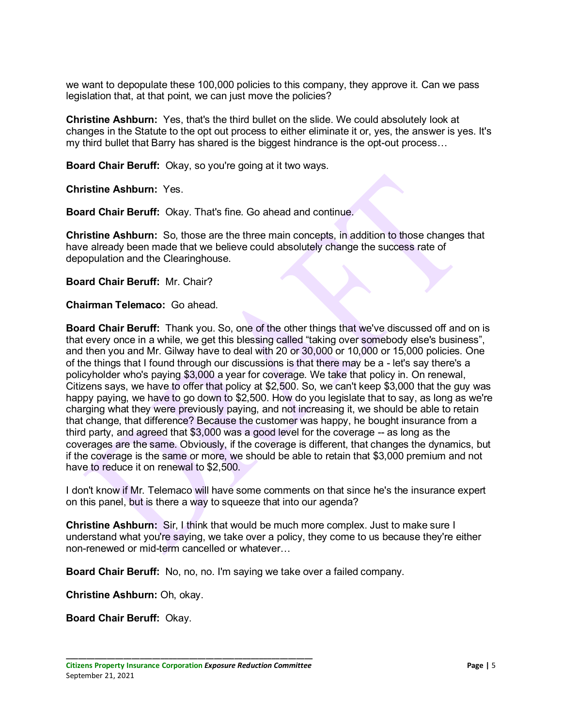we want to depopulate these 100,000 policies to this company, they approve it. Can we pass legislation that, at that point, we can just move the policies?

**Christine Ashburn:** Yes, that's the third bullet on the slide. We could absolutely look at changes in the Statute to the opt out process to either eliminate it or, yes, the answer is yes. It's my third bullet that Barry has shared is the biggest hindrance is the opt-out process…

**Board Chair Beruff:** Okay, so you're going at it two ways.

**Christine Ashburn:** Yes.

**Board Chair Beruff:** Okay. That's fine. Go ahead and continue.

**Christine Ashburn:** So, those are the three main concepts, in addition to those changes that have already been made that we believe could absolutely change the success rate of depopulation and the Clearinghouse.

**Board Chair Beruff:** Mr. Chair?

**Chairman Telemaco:** Go ahead.

**Board Chair Beruff:** Thank you. So, one of the other things that we've discussed off and on is that every once in a while, we get this blessing called "taking over somebody else's business", and then you and Mr. Gilway have to deal with 20 or 30,000 or 10,000 or 15,000 policies. One of the things that I found through our discussions is that there may be a - let's say there's a policyholder who's paying \$3,000 a year for coverage. We take that policy in. On renewal, Citizens says, we have to offer that policy at \$2,500. So, we can't keep \$3,000 that the guy was happy paying, we have to go down to \$2,500. How do you legislate that to say, as long as we're charging what they were previously paying, and not increasing it, we should be able to retain that change, that difference? Because the customer was happy, he bought insurance from a third party, and agreed that \$3,000 was a good level for the coverage -- as long as the coverages are the same. Obviously, if the coverage is different, that changes the dynamics, but if the coverage is the same or more, we should be able to retain that \$3,000 premium and not have to reduce it on renewal to \$2,500.

I don't know if Mr. Telemaco will have some comments on that since he's the insurance expert on this panel, but is there a way to squeeze that into our agenda?

**Christine Ashburn:** Sir, I think that would be much more complex. Just to make sure I understand what you're saying, we take over a policy, they come to us because they're either non-renewed or mid-term cancelled or whatever…

**Board Chair Beruff:** No, no, no. I'm saying we take over a failed company.

**Christine Ashburn:** Oh, okay.

**Board Chair Beruff:** Okay.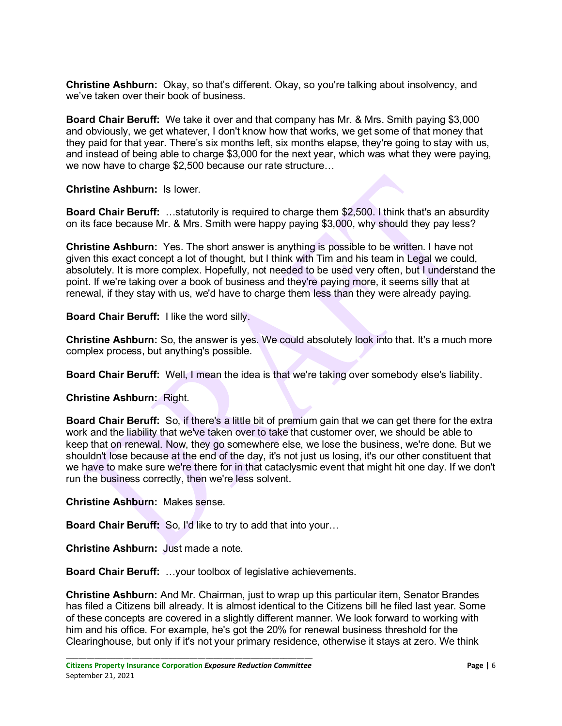**Christine Ashburn:** Okay, so that's different. Okay, so you're talking about insolvency, and we've taken over their book of business.

**Board Chair Beruff:** We take it over and that company has Mr. & Mrs. Smith paying \$3,000 and obviously, we get whatever, I don't know how that works, we get some of that money that they paid for that year. There's six months left, six months elapse, they're going to stay with us, and instead of being able to charge \$3,000 for the next year, which was what they were paying, we now have to charge \$2,500 because our rate structure…

**Christine Ashburn:** Is lower.

**Board Chair Beruff:** …statutorily is required to charge them \$2,500. I think that's an absurdity on its face because Mr. & Mrs. Smith were happy paying \$3,000, why should they pay less?

**Christine Ashburn:** Yes. The short answer is anything is possible to be written. I have not given this exact concept a lot of thought, but I think with Tim and his team in Legal we could, absolutely. It is more complex. Hopefully, not needed to be used very often, but I understand the point. If we're taking over a book of business and they're paying more, it seems silly that at renewal, if they stay with us, we'd have to charge them less than they were already paying.

**Board Chair Beruff:** I like the word silly.

**Christine Ashburn:** So, the answer is yes. We could absolutely look into that. It's a much more complex process, but anything's possible.

**Board Chair Beruff:** Well, I mean the idea is that we're taking over somebody else's liability.

**Christine Ashburn:** Right.

**Board Chair Beruff:** So, if there's a little bit of premium gain that we can get there for the extra work and the liability that we've taken over to take that customer over, we should be able to keep that on renewal. Now, they go somewhere else, we lose the business, we're done. But we shouldn't lose because at the end of the day, it's not just us losing, it's our other constituent that we have to make sure we're there for in that cataclysmic event that might hit one day. If we don't run the business correctly, then we're less solvent.

**Christine Ashburn:** Makes sense.

**Board Chair Beruff:** So, I'd like to try to add that into your…

**Christine Ashburn:** Just made a note.

**Board Chair Beruff:** …your toolbox of legislative achievements.

**Christine Ashburn:** And Mr. Chairman, just to wrap up this particular item, Senator Brandes has filed a Citizens bill already. It is almost identical to the Citizens bill he filed last year. Some of these concepts are covered in a slightly different manner. We look forward to working with him and his office. For example, he's got the 20% for renewal business threshold for the Clearinghouse, but only if it's not your primary residence, otherwise it stays at zero. We think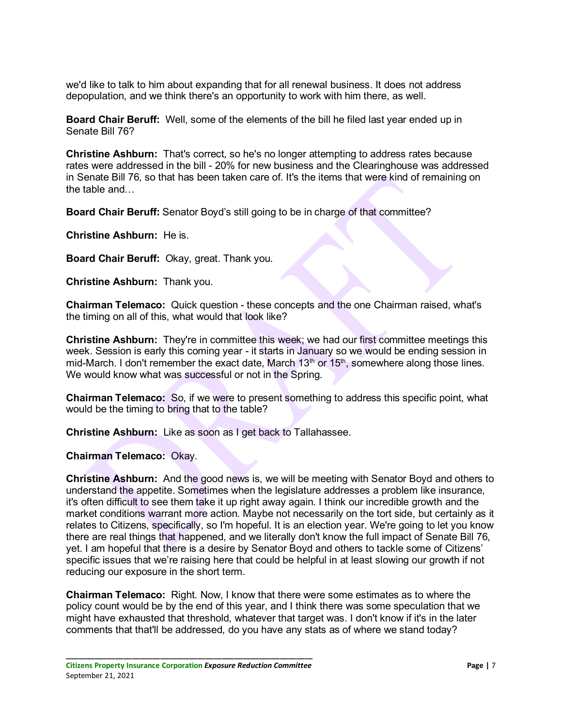we'd like to talk to him about expanding that for all renewal business. It does not address depopulation, and we think there's an opportunity to work with him there, as well.

**Board Chair Beruff:** Well, some of the elements of the bill he filed last year ended up in Senate Bill 76?

**Christine Ashburn:** That's correct, so he's no longer attempting to address rates because rates were addressed in the bill - 20% for new business and the Clearinghouse was addressed in Senate Bill 76, so that has been taken care of. It's the items that were kind of remaining on the table and…

**Board Chair Beruff:** Senator Boyd's still going to be in charge of that committee?

**Christine Ashburn:** He is.

**Board Chair Beruff:** Okay, great. Thank you.

**Christine Ashburn:** Thank you.

**Chairman Telemaco:** Quick question - these concepts and the one Chairman raised, what's the timing on all of this, what would that look like?

**Christine Ashburn:** They're in committee this week; we had our first committee meetings this week. Session is early this coming year - it starts in January so we would be ending session in mid-March. I don't remember the exact date, March  $13<sup>th</sup>$  or  $15<sup>th</sup>$ , somewhere along those lines. We would know what was successful or not in the Spring.

**Chairman Telemaco:** So, if we were to present something to address this specific point, what would be the timing to bring that to the table?

**Christine Ashburn:** Like as soon as I get back to Tallahassee.

**Chairman Telemaco:** Okay.

**Christine Ashburn:** And the good news is, we will be meeting with Senator Boyd and others to understand the appetite. Sometimes when the legislature addresses a problem like insurance, it's often difficult to see them take it up right away again. I think our incredible growth and the market conditions warrant more action. Maybe not necessarily on the tort side, but certainly as it relates to Citizens, specifically, so I'm hopeful. It is an election year. We're going to let you know there are real things that happened, and we literally don't know the full impact of Senate Bill 76, yet. I am hopeful that there is a desire by Senator Boyd and others to tackle some of Citizens' specific issues that we're raising here that could be helpful in at least slowing our growth if not reducing our exposure in the short term.

**Chairman Telemaco:** Right. Now, I know that there were some estimates as to where the policy count would be by the end of this year, and I think there was some speculation that we might have exhausted that threshold, whatever that target was. I don't know if it's in the later comments that that'll be addressed, do you have any stats as of where we stand today?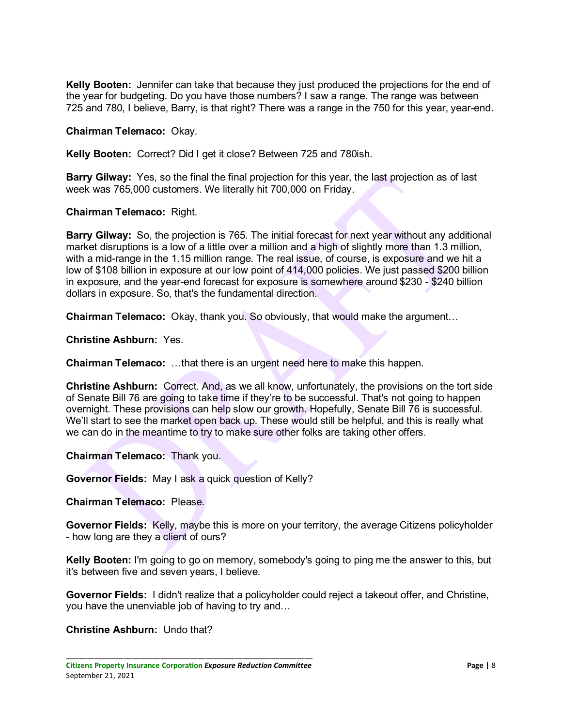**Kelly Booten:** Jennifer can take that because they just produced the projections for the end of the year for budgeting. Do you have those numbers? I saw a range. The range was between 725 and 780, I believe, Barry, is that right? There was a range in the 750 for this year, year-end.

**Chairman Telemaco:** Okay.

**Kelly Booten:** Correct? Did I get it close? Between 725 and 780ish.

**Barry Gilway:** Yes, so the final the final projection for this year, the last projection as of last week was 765,000 customers. We literally hit 700,000 on Friday.

**Chairman Telemaco:** Right.

**Barry Gilway:** So, the projection is 765. The initial forecast for next year without any additional market disruptions is a low of a little over a million and a high of slightly more than 1.3 million, with a mid-range in the 1.15 million range. The real issue, of course, is exposure and we hit a low of \$108 billion in exposure at our low point of 414,000 policies. We just passed \$200 billion in exposure, and the year-end forecast for exposure is somewhere around \$230 - \$240 billion dollars in exposure. So, that's the fundamental direction.

**Chairman Telemaco:** Okay, thank you. So obviously, that would make the argument…

**Christine Ashburn:** Yes.

**Chairman Telemaco:** …that there is an urgent need here to make this happen.

**Christine Ashburn:** Correct. And, as we all know, unfortunately, the provisions on the tort side of Senate Bill 76 are going to take time if they're to be successful. That's not going to happen overnight. These provisions can help slow our growth. Hopefully, Senate Bill 76 is successful. We'll start to see the market open back up. These would still be helpful, and this is really what we can do in the meantime to try to make sure other folks are taking other offers.

**Chairman Telemaco:** Thank you.

**Governor Fields:** May I ask a quick question of Kelly?

**Chairman Telemaco:** Please.

**Governor Fields:** Kelly, maybe this is more on your territory, the average Citizens policyholder - how long are they a client of ours?

**Kelly Booten:** I'm going to go on memory, somebody's going to ping me the answer to this, but it's between five and seven years, I believe.

**Governor Fields:** I didn't realize that a policyholder could reject a takeout offer, and Christine, you have the unenviable job of having to try and…

#### **Christine Ashburn:** Undo that?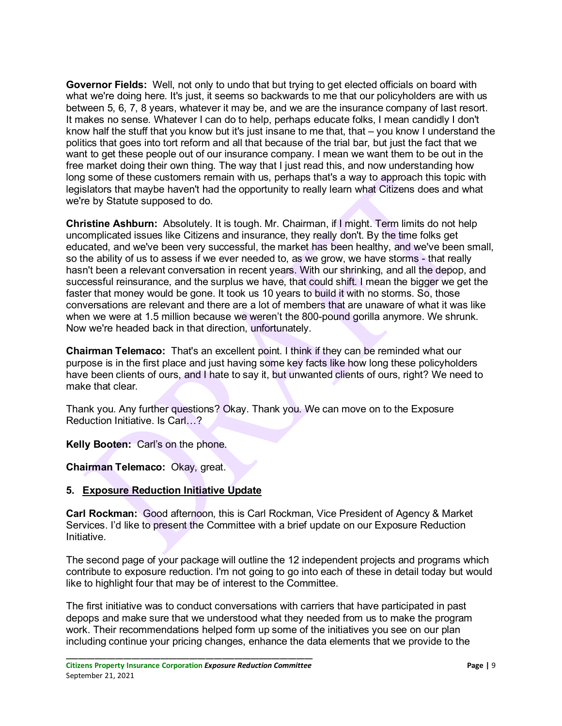**Governor Fields:** Well, not only to undo that but trying to get elected officials on board with what we're doing here. It's just, it seems so backwards to me that our policyholders are with us between 5, 6, 7, 8 years, whatever it may be, and we are the insurance company of last resort. It makes no sense. Whatever I can do to help, perhaps educate folks, I mean candidly I don't know half the stuff that you know but it's just insane to me that, that – you know I understand the politics that goes into tort reform and all that because of the trial bar, but just the fact that we want to get these people out of our insurance company. I mean we want them to be out in the free market doing their own thing. The way that I just read this, and now understanding how long some of these customers remain with us, perhaps that's a way to approach this topic with legislators that maybe haven't had the opportunity to really learn what Citizens does and what we're by Statute supposed to do.

**Christine Ashburn:** Absolutely. It is tough. Mr. Chairman, if I might. Term limits do not help uncomplicated issues like Citizens and insurance, they really don't. By the time folks get educated, and we've been very successful, the market has been healthy, and we've been small, so the ability of us to assess if we ever needed to, as we grow, we have storms - that really hasn't been a relevant conversation in recent years. With our shrinking, and all the depop, and successful reinsurance, and the surplus we have, that could shift. I mean the bigger we get the faster that money would be gone. It took us 10 years to build it with no storms. So, those conversations are relevant and there are a lot of members that are unaware of what it was like when we were at 1.5 million because we weren't the 800-pound gorilla anymore. We shrunk. Now we're headed back in that direction, unfortunately.

**Chairman Telemaco:** That's an excellent point. I think if they can be reminded what our purpose is in the first place and just having some key facts like how long these policyholders have been clients of ours, and I hate to say it, but unwanted clients of ours, right? We need to make that clear.

Thank you. Any further questions? Okay. Thank you. We can move on to the Exposure Reduction Initiative. Is Carl…?

**Kelly Booten:** Carl's on the phone.

**Chairman Telemaco:** Okay, great.

## **5. Exposure Reduction Initiative Update**

**Carl Rockman:** Good afternoon, this is Carl Rockman, Vice President of Agency & Market Services. I'd like to present the Committee with a brief update on our Exposure Reduction Initiative.

The second page of your package will outline the 12 independent projects and programs which contribute to exposure reduction. I'm not going to go into each of these in detail today but would like to highlight four that may be of interest to the Committee.

The first initiative was to conduct conversations with carriers that have participated in past depops and make sure that we understood what they needed from us to make the program work. Their recommendations helped form up some of the initiatives you see on our plan including continue your pricing changes, enhance the data elements that we provide to the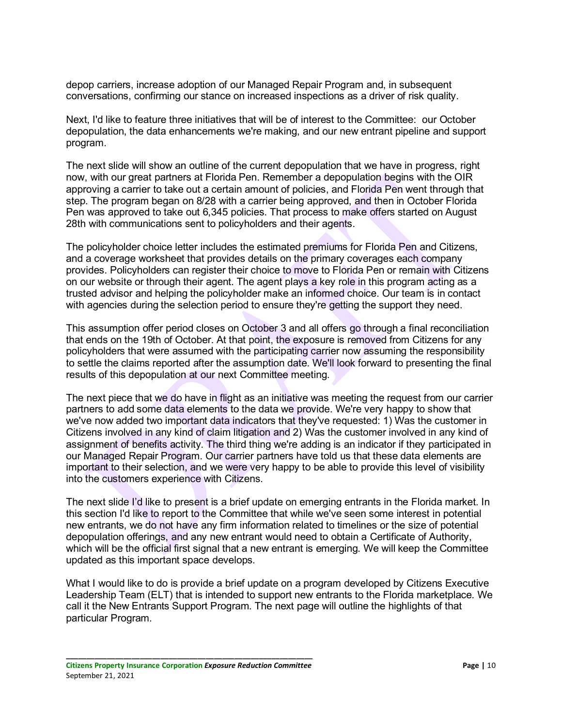depop carriers, increase adoption of our Managed Repair Program and, in subsequent conversations, confirming our stance on increased inspections as a driver of risk quality.

Next, I'd like to feature three initiatives that will be of interest to the Committee: our October depopulation, the data enhancements we're making, and our new entrant pipeline and support program.

The next slide will show an outline of the current depopulation that we have in progress, right now, with our great partners at Florida Pen. Remember a depopulation begins with the OIR approving a carrier to take out a certain amount of policies, and Florida Pen went through that step. The program began on 8/28 with a carrier being approved, and then in October Florida Pen was approved to take out 6,345 policies. That process to make offers started on August 28th with communications sent to policyholders and their agents.

The policyholder choice letter includes the estimated premiums for Florida Pen and Citizens, and a coverage worksheet that provides details on the primary coverages each company provides. Policyholders can register their choice to move to Florida Pen or remain with Citizens on our website or through their agent. The agent plays a key role in this program acting as a trusted advisor and helping the policyholder make an informed choice. Our team is in contact with agencies during the selection period to ensure they're getting the support they need.

This assumption offer period closes on October 3 and all offers go through a final reconciliation that ends on the 19th of October. At that point, the exposure is removed from Citizens for any policyholders that were assumed with the participating carrier now assuming the responsibility to settle the claims reported after the assumption date. We'll look forward to presenting the final results of this depopulation at our next Committee meeting.

The next piece that we do have in flight as an initiative was meeting the request from our carrier partners to add some data elements to the data we provide. We're very happy to show that we've now added two important data indicators that they've requested: 1) Was the customer in Citizens involved in any kind of claim litigation and 2) Was the customer involved in any kind of assignment of benefits activity. The third thing we're adding is an indicator if they participated in our Managed Repair Program. Our carrier partners have told us that these data elements are important to their selection, and we were very happy to be able to provide this level of visibility into the customers experience with Citizens.

The next slide I'd like to present is a brief update on emerging entrants in the Florida market. In this section I'd like to report to the Committee that while we've seen some interest in potential new entrants, we do not have any firm information related to timelines or the size of potential depopulation offerings, and any new entrant would need to obtain a Certificate of Authority, which will be the official first signal that a new entrant is emerging. We will keep the Committee updated as this important space develops.

What I would like to do is provide a brief update on a program developed by Citizens Executive Leadership Team (ELT) that is intended to support new entrants to the Florida marketplace. We call it the New Entrants Support Program. The next page will outline the highlights of that particular Program.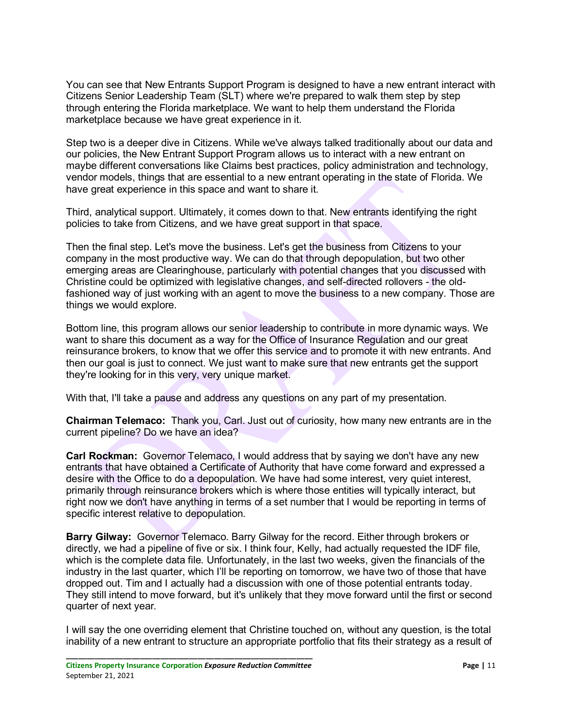You can see that New Entrants Support Program is designed to have a new entrant interact with Citizens Senior Leadership Team (SLT) where we're prepared to walk them step by step through entering the Florida marketplace. We want to help them understand the Florida marketplace because we have great experience in it.

Step two is a deeper dive in Citizens. While we've always talked traditionally about our data and our policies, the New Entrant Support Program allows us to interact with a new entrant on maybe different conversations like Claims best practices, policy administration and technology, vendor models, things that are essential to a new entrant operating in the state of Florida. We have great experience in this space and want to share it.

Third, analytical support. Ultimately, it comes down to that. New entrants identifying the right policies to take from Citizens, and we have great support in that space.

Then the final step. Let's move the business. Let's get the business from Citizens to your company in the most productive way. We can do that through depopulation, but two other emerging areas are Clearinghouse, particularly with potential changes that you discussed with Christine could be optimized with legislative changes, and self-directed rollovers - the oldfashioned way of just working with an agent to move the business to a new company. Those are things we would explore.

Bottom line, this program allows our senior leadership to contribute in more dynamic ways. We want to share this document as a way for the Office of Insurance Regulation and our great reinsurance brokers, to know that we offer this service and to promote it with new entrants. And then our goal is just to connect. We just want to make sure that new entrants get the support they're looking for in this very, very unique market.

With that, I'll take a pause and address any questions on any part of my presentation.

**Chairman Telemaco:** Thank you, Carl. Just out of curiosity, how many new entrants are in the current pipeline? Do we have an idea?

**Carl Rockman:** Governor Telemaco, I would address that by saying we don't have any new entrants that have obtained a Certificate of Authority that have come forward and expressed a desire with the Office to do a depopulation. We have had some interest, very quiet interest, primarily through reinsurance brokers which is where those entities will typically interact, but right now we don't have anything in terms of a set number that I would be reporting in terms of specific interest relative to depopulation.

**Barry Gilway:** Governor Telemaco. Barry Gilway for the record. Either through brokers or directly, we had a pipeline of five or six. I think four, Kelly, had actually requested the IDF file, which is the complete data file. Unfortunately, in the last two weeks, given the financials of the industry in the last quarter, which I'll be reporting on tomorrow, we have two of those that have dropped out. Tim and I actually had a discussion with one of those potential entrants today. They still intend to move forward, but it's unlikely that they move forward until the first or second quarter of next year.

I will say the one overriding element that Christine touched on, without any question, is the total inability of a new entrant to structure an appropriate portfolio that fits their strategy as a result of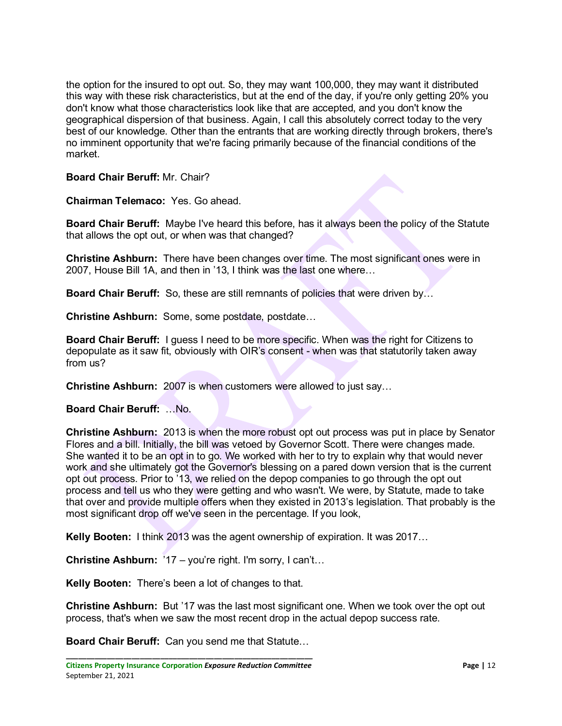the option for the insured to opt out. So, they may want 100,000, they may want it distributed this way with these risk characteristics, but at the end of the day, if you're only getting 20% you don't know what those characteristics look like that are accepted, and you don't know the geographical dispersion of that business. Again, I call this absolutely correct today to the very best of our knowledge. Other than the entrants that are working directly through brokers, there's no imminent opportunity that we're facing primarily because of the financial conditions of the market.

#### **Board Chair Beruff:** Mr. Chair?

**Chairman Telemaco:** Yes. Go ahead.

**Board Chair Beruff:** Maybe I've heard this before, has it always been the policy of the Statute that allows the opt out, or when was that changed?

**Christine Ashburn:** There have been changes over time. The most significant ones were in 2007, House Bill 1A, and then in '13, I think was the last one where…

**Board Chair Beruff:** So, these are still remnants of policies that were driven by…

**Christine Ashburn:** Some, some postdate, postdate…

**Board Chair Beruff:** I guess I need to be more specific. When was the right for Citizens to depopulate as it saw fit, obviously with OIR's consent - when was that statutorily taken away from us?

**Christine Ashburn:** 2007 is when customers were allowed to just say…

**Board Chair Beruff:** …No.

**Christine Ashburn:** 2013 is when the more robust opt out process was put in place by Senator Flores and a bill. Initially, the bill was vetoed by Governor Scott. There were changes made. She wanted it to be an opt in to go. We worked with her to try to explain why that would never work and she ultimately got the Governor's blessing on a pared down version that is the current opt out process. Prior to '13, we relied on the depop companies to go through the opt out process and tell us who they were getting and who wasn't. We were, by Statute, made to take that over and provide multiple offers when they existed in 2013's legislation. That probably is the most significant drop off we've seen in the percentage. If you look,

**Kelly Booten:** I think 2013 was the agent ownership of expiration. It was 2017…

**Christine Ashburn:** '17 – you're right. I'm sorry, I can't…

**Kelly Booten:** There's been a lot of changes to that.

**Christine Ashburn:** But '17 was the last most significant one. When we took over the opt out process, that's when we saw the most recent drop in the actual depop success rate.

**Board Chair Beruff:** Can you send me that Statute…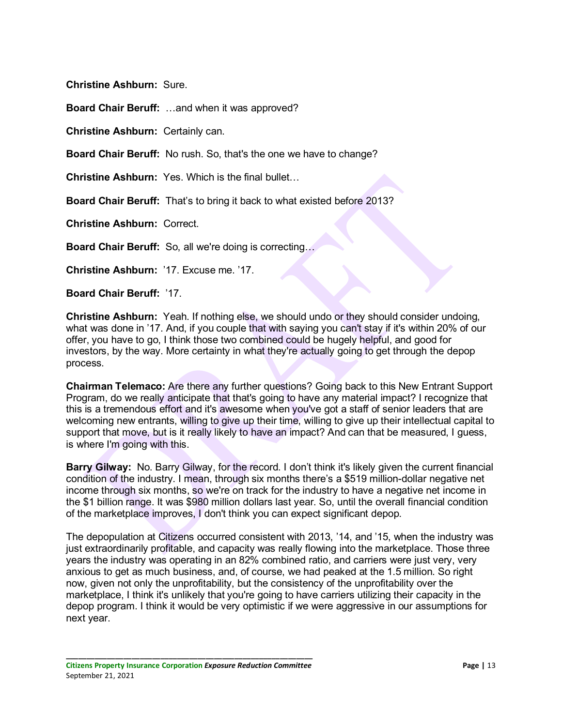**Christine Ashburn:** Sure.

**Board Chair Beruff:** …and when it was approved?

**Christine Ashburn:** Certainly can.

**Board Chair Beruff:** No rush. So, that's the one we have to change?

**Christine Ashburn:** Yes. Which is the final bullet…

**Board Chair Beruff:** That's to bring it back to what existed before 2013?

**Christine Ashburn:** Correct.

**Board Chair Beruff:** So, all we're doing is correcting…

**Christine Ashburn:** '17. Excuse me. '17.

**Board Chair Beruff:** '17.

**Christine Ashburn:** Yeah. If nothing else, we should undo or they should consider undoing, what was done in '17. And, if you couple that with saying you can't stay if it's within 20% of our offer, you have to go, I think those two combined could be hugely helpful, and good for investors, by the way. More certainty in what they're actually going to get through the depop process.

**Chairman Telemaco:** Are there any further questions? Going back to this New Entrant Support Program, do we really anticipate that that's going to have any material impact? I recognize that this is a tremendous effort and it's awesome when you've got a staff of senior leaders that are welcoming new entrants, willing to give up their time, willing to give up their intellectual capital to support that move, but is it really likely to have an impact? And can that be measured, I guess, is where I'm going with this.

**Barry Gilway:** No. Barry Gilway, for the record. I don't think it's likely given the current financial condition of the industry. I mean, through six months there's a \$519 million-dollar negative net income through six months, so we're on track for the industry to have a negative net income in the \$1 billion range. It was \$980 million dollars last year. So, until the overall financial condition of the marketplace improves, I don't think you can expect significant depop.

The depopulation at Citizens occurred consistent with 2013, '14, and '15, when the industry was just extraordinarily profitable, and capacity was really flowing into the marketplace. Those three years the industry was operating in an 82% combined ratio, and carriers were just very, very anxious to get as much business, and, of course, we had peaked at the 1.5 million. So right now, given not only the unprofitability, but the consistency of the unprofitability over the marketplace, I think it's unlikely that you're going to have carriers utilizing their capacity in the depop program. I think it would be very optimistic if we were aggressive in our assumptions for next year.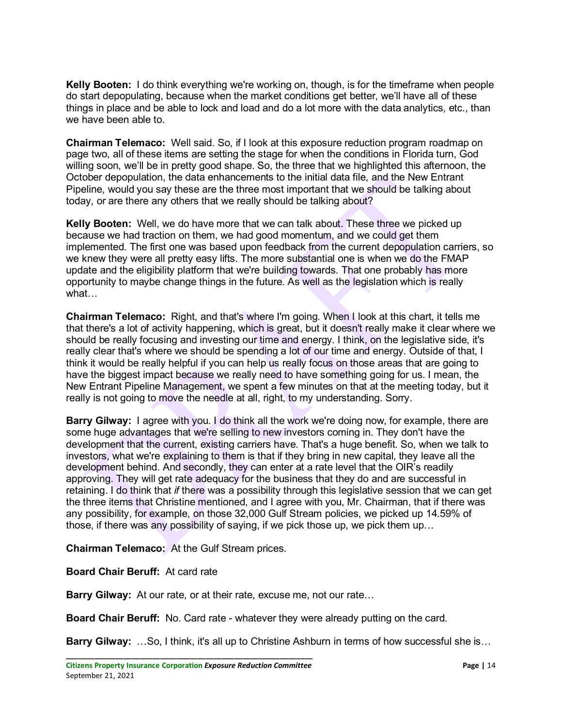**Kelly Booten:** I do think everything we're working on, though, is for the timeframe when people do start depopulating, because when the market conditions get better, we'll have all of these things in place and be able to lock and load and do a lot more with the data analytics, etc., than we have been able to.

**Chairman Telemaco:** Well said. So, if I look at this exposure reduction program roadmap on page two, all of these items are setting the stage for when the conditions in Florida turn, God willing soon, we'll be in pretty good shape. So, the three that we highlighted this afternoon, the October depopulation, the data enhancements to the initial data file, and the New Entrant Pipeline, would you say these are the three most important that we should be talking about today, or are there any others that we really should be talking about?

**Kelly Booten:** Well, we do have more that we can talk about. These three we picked up because we had traction on them, we had good momentum, and we could get them implemented. The first one was based upon feedback from the current depopulation carriers, so we knew they were all pretty easy lifts. The more substantial one is when we do the FMAP update and the eligibility platform that we're building towards. That one probably has more opportunity to maybe change things in the future. As well as the legislation which is really what…

**Chairman Telemaco:** Right, and that's where I'm going. When I look at this chart, it tells me that there's a lot of activity happening, which is great, but it doesn't really make it clear where we should be really focusing and investing our time and energy. I think, on the legislative side, it's really clear that's where we should be spending a lot of our time and energy. Outside of that, I think it would be really helpful if you can help us really focus on those areas that are going to have the biggest impact because we really need to have something going for us. I mean, the New Entrant Pipeline Management, we spent a few minutes on that at the meeting today, but it really is not going to move the needle at all, right, to my understanding. Sorry.

**Barry Gilway:** I agree with you. I do think all the work we're doing now, for example, there are some huge advantages that we're selling to new investors coming in. They don't have the development that the current, existing carriers have. That's a huge benefit. So, when we talk to investors, what we're explaining to them is that if they bring in new capital, they leave all the development behind. And secondly, they can enter at a rate level that the OIR's readily approving. They will get rate adequacy for the business that they do and are successful in retaining. I do think that *if* there was a possibility through this legislative session that we can get the three items that Christine mentioned, and I agree with you, Mr. Chairman, that if there was any possibility, for example, on those 32,000 Gulf Stream policies, we picked up 14.59% of those, if there was any possibility of saying, if we pick those up, we pick them up…

**Chairman Telemaco:** At the Gulf Stream prices.

**Board Chair Beruff:** At card rate

**Barry Gilway:** At our rate, or at their rate, excuse me, not our rate…

**Board Chair Beruff:** No. Card rate - whatever they were already putting on the card.

**Barry Gilway:** …So, I think, it's all up to Christine Ashburn in terms of how successful she is…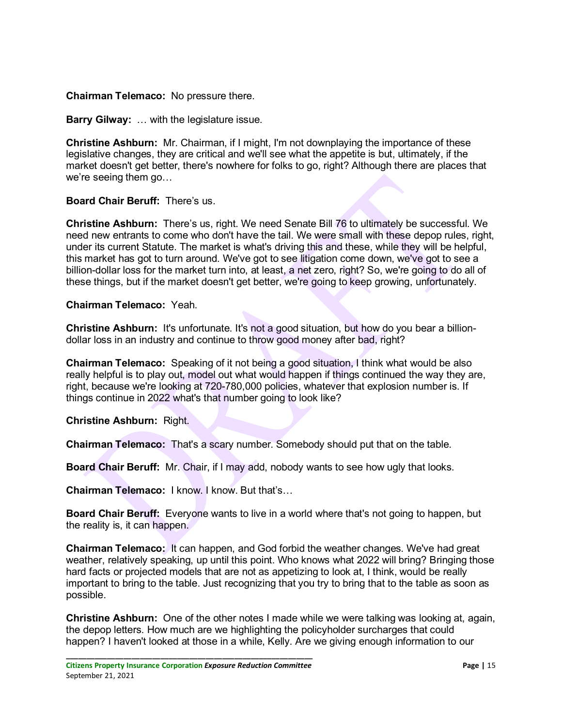**Chairman Telemaco:** No pressure there.

**Barry Gilway:** … with the legislature issue.

**Christine Ashburn:** Mr. Chairman, if I might, I'm not downplaying the importance of these legislative changes, they are critical and we'll see what the appetite is but, ultimately, if the market doesn't get better, there's nowhere for folks to go, right? Although there are places that we're seeing them go…

#### **Board Chair Beruff:** There's us.

**Christine Ashburn:** There's us, right. We need Senate Bill 76 to ultimately be successful. We need new entrants to come who don't have the tail. We were small with these depop rules, right, under its current Statute. The market is what's driving this and these, while they will be helpful, this market has got to turn around. We've got to see litigation come down, we've got to see a billion-dollar loss for the market turn into, at least, a net zero, right? So, we're going to do all of these things, but if the market doesn't get better, we're going to keep growing, unfortunately.

#### **Chairman Telemaco:** Yeah.

**Christine Ashburn:** It's unfortunate. It's not a good situation, but how do you bear a billiondollar loss in an industry and continue to throw good money after bad, right?

**Chairman Telemaco:** Speaking of it not being a good situation, I think what would be also really helpful is to play out, model out what would happen if things continued the way they are, right, because we're looking at 720-780,000 policies, whatever that explosion number is. If things continue in 2022 what's that number going to look like?

**Christine Ashburn:** Right.

**Chairman Telemaco:** That's a scary number. Somebody should put that on the table.

**Board Chair Beruff:** Mr. Chair, if I may add, nobody wants to see how ugly that looks.

**Chairman Telemaco:** I know. I know. But that's…

**Board Chair Beruff:** Everyone wants to live in a world where that's not going to happen, but the reality is, it can happen.

**Chairman Telemaco:** It can happen, and God forbid the weather changes. We've had great weather, relatively speaking, up until this point. Who knows what 2022 will bring? Bringing those hard facts or projected models that are not as appetizing to look at, I think, would be really important to bring to the table. Just recognizing that you try to bring that to the table as soon as possible.

**Christine Ashburn:** One of the other notes I made while we were talking was looking at, again, the depop letters. How much are we highlighting the policyholder surcharges that could happen? I haven't looked at those in a while, Kelly. Are we giving enough information to our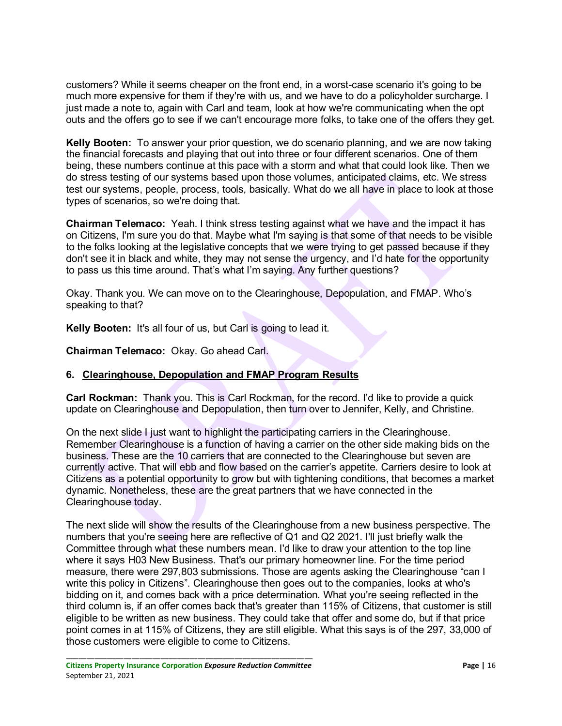customers? While it seems cheaper on the front end, in a worst-case scenario it's going to be much more expensive for them if they're with us, and we have to do a policyholder surcharge. I just made a note to, again with Carl and team, look at how we're communicating when the opt outs and the offers go to see if we can't encourage more folks, to take one of the offers they get.

**Kelly Booten:** To answer your prior question, we do scenario planning, and we are now taking the financial forecasts and playing that out into three or four different scenarios. One of them being, these numbers continue at this pace with a storm and what that could look like. Then we do stress testing of our systems based upon those volumes, anticipated claims, etc. We stress test our systems, people, process, tools, basically. What do we all have in place to look at those types of scenarios, so we're doing that.

**Chairman Telemaco:** Yeah. I think stress testing against what we have and the impact it has on Citizens, I'm sure you do that. Maybe what I'm saying is that some of that needs to be visible to the folks looking at the legislative concepts that we were trying to get passed because if they don't see it in black and white, they may not sense the urgency, and I'd hate for the opportunity to pass us this time around. That's what I'm saying. Any further questions?

Okay. Thank you. We can move on to the Clearinghouse, Depopulation, and FMAP. Who's speaking to that?

**Kelly Booten:** It's all four of us, but Carl is going to lead it.

**Chairman Telemaco:** Okay. Go ahead Carl.

## **6. Clearinghouse, Depopulation and FMAP Program Results**

**Carl Rockman:** Thank you. This is Carl Rockman, for the record. I'd like to provide a quick update on Clearinghouse and Depopulation, then turn over to Jennifer, Kelly, and Christine.

On the next slide I just want to highlight the participating carriers in the Clearinghouse. Remember Clearinghouse is a function of having a carrier on the other side making bids on the business. These are the 10 carriers that are connected to the Clearinghouse but seven are currently active. That will ebb and flow based on the carrier's appetite. Carriers desire to look at Citizens as a potential opportunity to grow but with tightening conditions, that becomes a market dynamic. Nonetheless, these are the great partners that we have connected in the Clearinghouse today.

The next slide will show the results of the Clearinghouse from a new business perspective. The numbers that you're seeing here are reflective of Q1 and Q2 2021. I'll just briefly walk the Committee through what these numbers mean. I'd like to draw your attention to the top line where it says H03 New Business. That's our primary homeowner line. For the time period measure, there were 297,803 submissions. Those are agents asking the Clearinghouse "can I write this policy in Citizens". Clearinghouse then goes out to the companies, looks at who's bidding on it, and comes back with a price determination. What you're seeing reflected in the third column is, if an offer comes back that's greater than 115% of Citizens, that customer is still eligible to be written as new business. They could take that offer and some do, but if that price point comes in at 115% of Citizens, they are still eligible. What this says is of the 297, 33,000 of those customers were eligible to come to Citizens.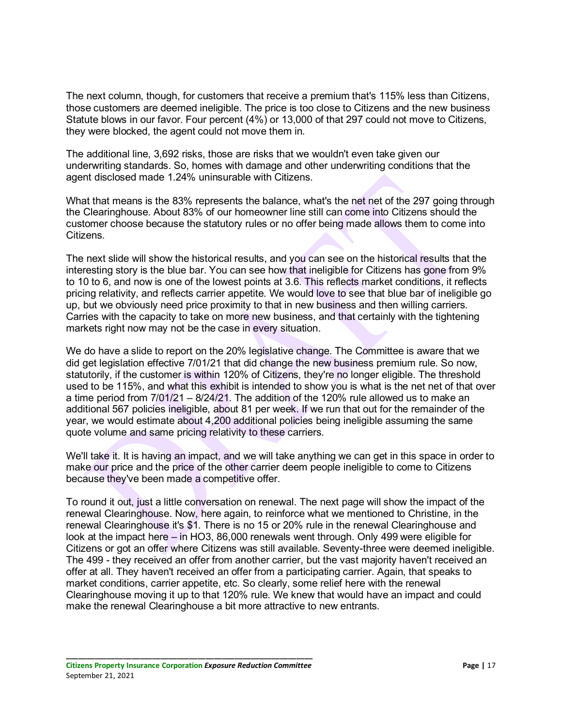The next column, though, for customers that receive a premium that's 115% less than Citizens, those customers are deemed ineligible. The price is too close to Citizens and the new business Statute blows in our favor. Four percent (4%) or 13,000 of that 297 could not move to Citizens, they were blocked, the agent could not move them in.

The additional line, 3,692 risks, those are risks that we wouldn't even take given our underwriting standards. So, homes with damage and other underwriting conditions that the agent disclosed made 1.24% uninsurable with Citizens.

What that means is the 83% represents the balance, what's the net net of the 297 going through the Clearinghouse. About 83% of our homeowner line still can come into Citizens should the customer choose because the statutory rules or no offer being made allows them to come into Citizens.

The next slide will show the historical results, and you can see on the historical results that the interesting story is the blue bar. You can see how that ineligible for Citizens has gone from 9% to 10 to 6, and now is one of the lowest points at 3.6. This reflects market conditions, it reflects pricing relativity, and reflects carrier appetite. We would love to see that blue bar of ineligible go up, but we obviously need price proximity to that in new business and then willing carriers. Carries with the capacity to take on more new business, and that certainly with the tightening markets right now may not be the case in every situation.

We do have a slide to report on the 20% legislative change. The Committee is aware that we did get legislation effective 7/01/21 that did change the new business premium rule. So now, statutorily, if the customer is within 120% of Citizens, they're no longer eligible. The threshold used to be 115%, and what this exhibit is intended to show you is what is the net net of that over a time period from 7/01/21 – 8/24/21. The addition of the 120% rule allowed us to make an additional 567 policies ineligible, about 81 per week. If we run that out for the remainder of the year, we would estimate about 4,200 additional policies being ineligible assuming the same quote volume and same pricing relativity to these carriers.

We'll take it. It is having an impact, and we will take anything we can get in this space in order to make our price and the price of the other carrier deem people ineligible to come to Citizens because they've been made a competitive offer.

To round it out, just a little conversation on renewal. The next page will show the impact of the renewal Clearinghouse. Now, here again, to reinforce what we mentioned to Christine, in the renewal Clearinghouse it's \$1. There is no 15 or 20% rule in the renewal Clearinghouse and look at the impact here – in HO3, 86,000 renewals went through. Only 499 were eligible for Citizens or got an offer where Citizens was still available. Seventy-three were deemed ineligible. The 499 - they received an offer from another carrier, but the vast majority haven't received an offer at all. They haven't received an offer from a participating carrier. Again, that speaks to market conditions, carrier appetite, etc. So clearly, some relief here with the renewal Clearinghouse moving it up to that 120% rule. We knew that would have an impact and could make the renewal Clearinghouse a bit more attractive to new entrants.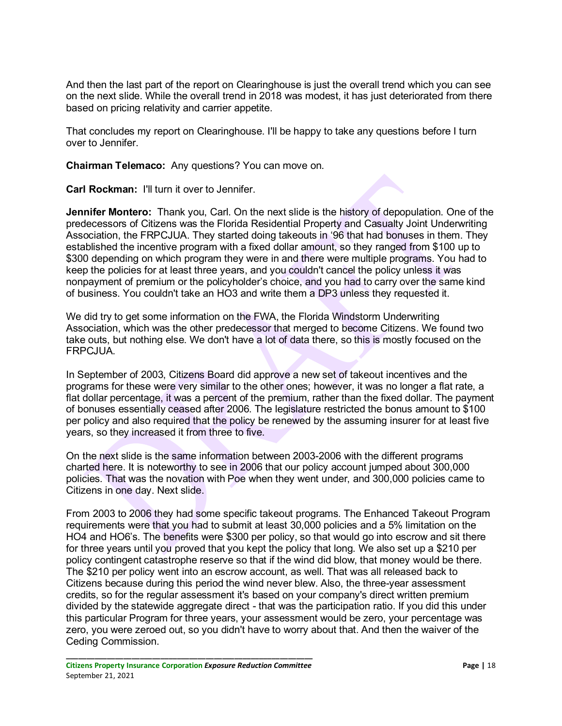And then the last part of the report on Clearinghouse is just the overall trend which you can see on the next slide. While the overall trend in 2018 was modest, it has just deteriorated from there based on pricing relativity and carrier appetite.

That concludes my report on Clearinghouse. I'll be happy to take any questions before I turn over to Jennifer.

**Chairman Telemaco:** Any questions? You can move on.

**Carl Rockman:** I'll turn it over to Jennifer.

**Jennifer Montero:** Thank you, Carl. On the next slide is the history of depopulation. One of the predecessors of Citizens was the Florida Residential Property and Casualty Joint Underwriting Association, the FRPCJUA. They started doing takeouts in '96 that had bonuses in them. They established the incentive program with a fixed dollar amount, so they ranged from \$100 up to \$300 depending on which program they were in and there were multiple programs. You had to keep the policies for at least three years, and you couldn't cancel the policy unless it was nonpayment of premium or the policyholder's choice, and you had to carry over the same kind of business. You couldn't take an HO3 and write them a DP3 unless they requested it.

We did try to get some information on the FWA, the Florida Windstorm Underwriting Association, which was the other predecessor that merged to become Citizens. We found two take outs, but nothing else. We don't have a lot of data there, so this is mostly focused on the FRPCJUA.

In September of 2003, Citizens Board did approve a new set of takeout incentives and the programs for these were very similar to the other ones; however, it was no longer a flat rate, a flat dollar percentage, it was a percent of the premium, rather than the fixed dollar. The payment of bonuses essentially ceased after 2006. The legislature restricted the bonus amount to \$100 per policy and also required that the policy be renewed by the assuming insurer for at least five years, so they increased it from three to five.

On the next slide is the same information between 2003-2006 with the different programs charted here. It is noteworthy to see in 2006 that our policy account jumped about 300,000 policies. That was the novation with Poe when they went under, and 300,000 policies came to Citizens in one day. Next slide.

From 2003 to 2006 they had some specific takeout programs. The Enhanced Takeout Program requirements were that you had to submit at least 30,000 policies and a 5% limitation on the HO4 and HO6's. The benefits were \$300 per policy, so that would go into escrow and sit there for three years until you proved that you kept the policy that long. We also set up a \$210 per policy contingent catastrophe reserve so that if the wind did blow, that money would be there. The \$210 per policy went into an escrow account, as well. That was all released back to Citizens because during this period the wind never blew. Also, the three-year assessment credits, so for the regular assessment it's based on your company's direct written premium divided by the statewide aggregate direct - that was the participation ratio. If you did this under this particular Program for three years, your assessment would be zero, your percentage was zero, you were zeroed out, so you didn't have to worry about that. And then the waiver of the Ceding Commission.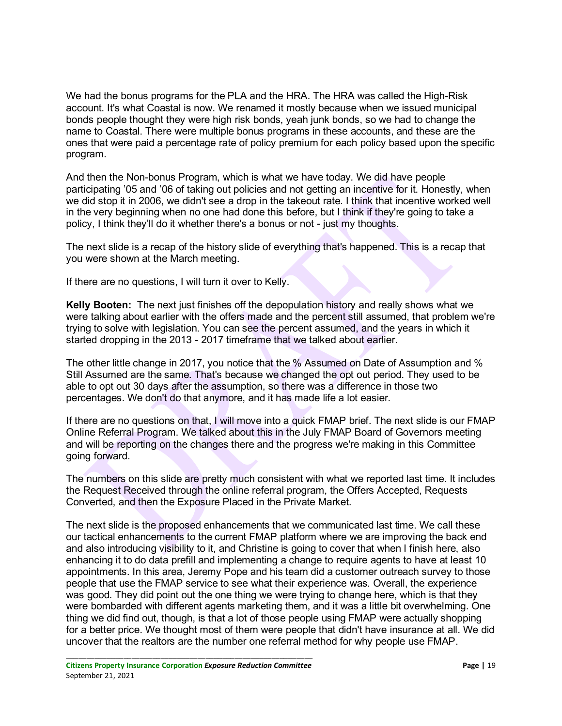We had the bonus programs for the PLA and the HRA. The HRA was called the High-Risk account. It's what Coastal is now. We renamed it mostly because when we issued municipal bonds people thought they were high risk bonds, yeah junk bonds, so we had to change the name to Coastal. There were multiple bonus programs in these accounts, and these are the ones that were paid a percentage rate of policy premium for each policy based upon the specific program.

And then the Non-bonus Program, which is what we have today. We did have people participating '05 and '06 of taking out policies and not getting an incentive for it. Honestly, when we did stop it in 2006, we didn't see a drop in the takeout rate. I think that incentive worked well in the very beginning when no one had done this before, but I think if they're going to take a policy, I think they'll do it whether there's a bonus or not - just my thoughts.

The next slide is a recap of the history slide of everything that's happened. This is a recap that you were shown at the March meeting.

If there are no questions, I will turn it over to Kelly.

**Kelly Booten:** The next just finishes off the depopulation history and really shows what we were talking about earlier with the offers made and the percent still assumed, that problem we're trying to solve with legislation. You can see the percent assumed, and the years in which it started dropping in the 2013 - 2017 timeframe that we talked about earlier.

The other little change in 2017, you notice that the % Assumed on Date of Assumption and % Still Assumed are the same. That's because we changed the opt out period. They used to be able to opt out 30 days after the assumption, so there was a difference in those two percentages. We don't do that anymore, and it has made life a lot easier.

If there are no questions on that, I will move into a quick FMAP brief. The next slide is our FMAP Online Referral Program. We talked about this in the July FMAP Board of Governors meeting and will be reporting on the changes there and the progress we're making in this Committee going forward.

The numbers on this slide are pretty much consistent with what we reported last time. It includes the Request Received through the online referral program, the Offers Accepted, Requests Converted, and then the Exposure Placed in the Private Market.

The next slide is the proposed enhancements that we communicated last time. We call these our tactical enhancements to the current FMAP platform where we are improving the back end and also introducing visibility to it, and Christine is going to cover that when I finish here, also enhancing it to do data prefill and implementing a change to require agents to have at least 10 appointments. In this area, Jeremy Pope and his team did a customer outreach survey to those people that use the FMAP service to see what their experience was. Overall, the experience was good. They did point out the one thing we were trying to change here, which is that they were bombarded with different agents marketing them, and it was a little bit overwhelming. One thing we did find out, though, is that a lot of those people using FMAP were actually shopping for a better price. We thought most of them were people that didn't have insurance at all. We did uncover that the realtors are the number one referral method for why people use FMAP.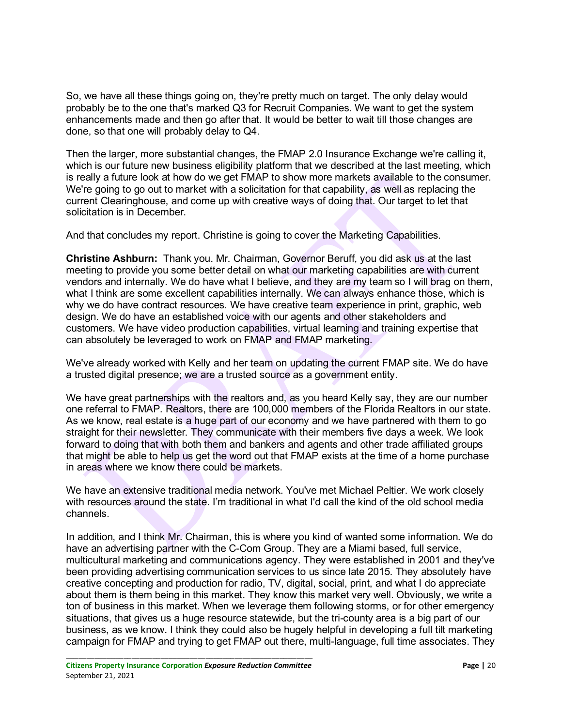So, we have all these things going on, they're pretty much on target. The only delay would probably be to the one that's marked Q3 for Recruit Companies. We want to get the system enhancements made and then go after that. It would be better to wait till those changes are done, so that one will probably delay to Q4.

Then the larger, more substantial changes, the FMAP 2.0 Insurance Exchange we're calling it, which is our future new business eligibility platform that we described at the last meeting, which is really a future look at how do we get FMAP to show more markets available to the consumer. We're going to go out to market with a solicitation for that capability, as well as replacing the current Clearinghouse, and come up with creative ways of doing that. Our target to let that solicitation is in December.

And that concludes my report. Christine is going to cover the Marketing Capabilities.

**Christine Ashburn:** Thank you. Mr. Chairman, Governor Beruff, you did ask us at the last meeting to provide you some better detail on what our marketing capabilities are with current vendors and internally. We do have what I believe, and they are my team so I will brag on them, what I think are some excellent capabilities internally. We can always enhance those, which is why we do have contract resources. We have creative team experience in print, graphic, web design. We do have an established voice with our agents and other stakeholders and customers. We have video production capabilities, virtual learning and training expertise that can absolutely be leveraged to work on FMAP and FMAP marketing.

We've already worked with Kelly and her team on updating the current FMAP site. We do have a trusted digital presence; we are a trusted source as a government entity.

We have great partnerships with the realtors and, as you heard Kelly say, they are our number one referral to FMAP. Realtors, there are 100,000 members of the Florida Realtors in our state. As we know, real estate is a huge part of our economy and we have partnered with them to go straight for their newsletter. They communicate with their members five days a week. We look forward to doing that with both them and bankers and agents and other trade affiliated groups that might be able to help us get the word out that FMAP exists at the time of a home purchase in areas where we know there could be markets.

We have an extensive traditional media network. You've met Michael Peltier. We work closely with resources around the state. I'm traditional in what I'd call the kind of the old school media channels.

In addition, and I think Mr. Chairman, this is where you kind of wanted some information. We do have an advertising partner with the C-Com Group. They are a Miami based, full service, multicultural marketing and communications agency. They were established in 2001 and they've been providing advertising communication services to us since late 2015. They absolutely have creative concepting and production for radio, TV, digital, social, print, and what I do appreciate about them is them being in this market. They know this market very well. Obviously, we write a ton of business in this market. When we leverage them following storms, or for other emergency situations, that gives us a huge resource statewide, but the tri-county area is a big part of our business, as we know. I think they could also be hugely helpful in developing a full tilt marketing campaign for FMAP and trying to get FMAP out there, multi-language, full time associates. They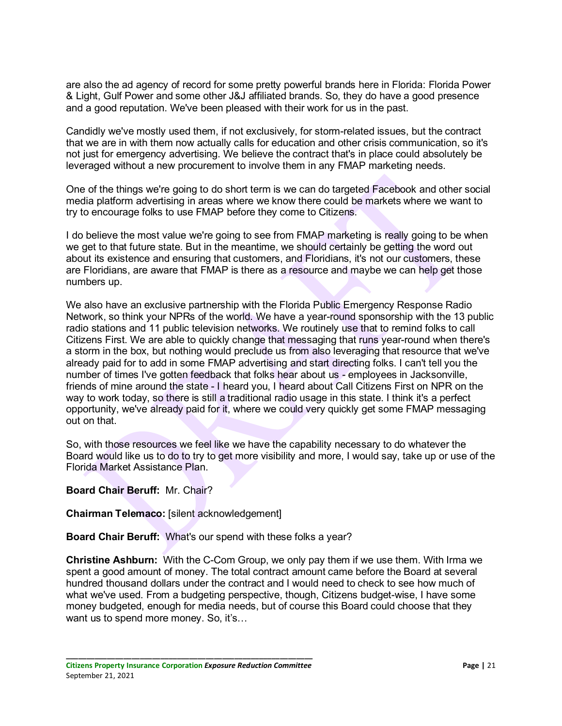are also the ad agency of record for some pretty powerful brands here in Florida: Florida Power & Light, Gulf Power and some other J&J affiliated brands. So, they do have a good presence and a good reputation. We've been pleased with their work for us in the past.

Candidly we've mostly used them, if not exclusively, for storm-related issues, but the contract that we are in with them now actually calls for education and other crisis communication, so it's not just for emergency advertising. We believe the contract that's in place could absolutely be leveraged without a new procurement to involve them in any FMAP marketing needs.

One of the things we're going to do short term is we can do targeted Facebook and other social media platform advertising in areas where we know there could be markets where we want to try to encourage folks to use FMAP before they come to Citizens.

I do believe the most value we're going to see from FMAP marketing is really going to be when we get to that future state. But in the meantime, we should certainly be getting the word out about its existence and ensuring that customers, and Floridians, it's not our customers, these are Floridians, are aware that FMAP is there as a resource and maybe we can help get those numbers up.

We also have an exclusive partnership with the Florida Public Emergency Response Radio Network, so think your NPRs of the world. We have a year-round sponsorship with the 13 public radio stations and 11 public television networks. We routinely use that to remind folks to call Citizens First. We are able to quickly change that messaging that runs year-round when there's a storm in the box, but nothing would preclude us from also leveraging that resource that we've already paid for to add in some FMAP advertising and start directing folks. I can't tell you the number of times I've gotten feedback that folks hear about us - employees in Jacksonville, friends of mine around the state - I heard you, I heard about Call Citizens First on NPR on the way to work today, so there is still a traditional radio usage in this state. I think it's a perfect opportunity, we've already paid for it, where we could very quickly get some FMAP messaging out on that.

So, with those resources we feel like we have the capability necessary to do whatever the Board would like us to do to try to get more visibility and more, I would say, take up or use of the Florida Market Assistance Plan.

#### **Board Chair Beruff:** Mr. Chair?

#### **Chairman Telemaco:** [silent acknowledgement]

#### **Board Chair Beruff:** What's our spend with these folks a year?

**Christine Ashburn:** With the C-Com Group, we only pay them if we use them. With Irma we spent a good amount of money. The total contract amount came before the Board at several hundred thousand dollars under the contract and I would need to check to see how much of what we've used. From a budgeting perspective, though, Citizens budget-wise, I have some money budgeted, enough for media needs, but of course this Board could choose that they want us to spend more money. So, it's...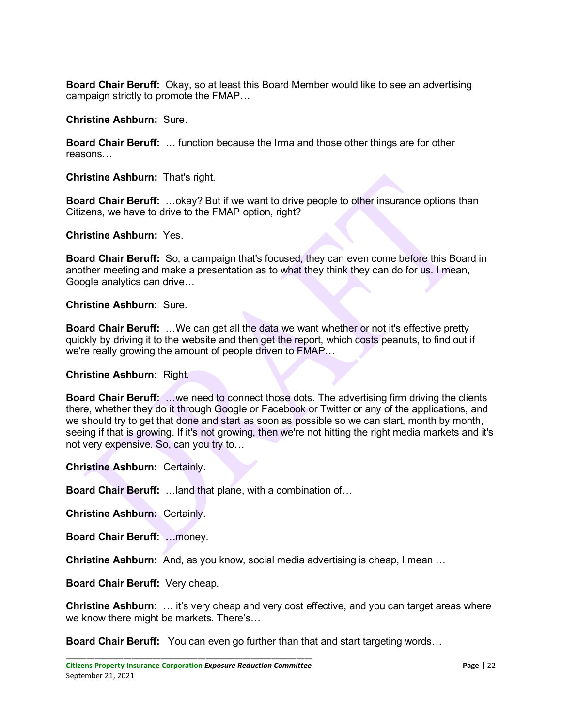**Board Chair Beruff:** Okay, so at least this Board Member would like to see an advertising campaign strictly to promote the FMAP…

**Christine Ashburn:** Sure.

**Board Chair Beruff:** … function because the Irma and those other things are for other reasons…

**Christine Ashburn:** That's right.

**Board Chair Beruff:** …okay? But if we want to drive people to other insurance options than Citizens, we have to drive to the FMAP option, right?

**Christine Ashburn:** Yes.

**Board Chair Beruff:** So, a campaign that's focused, they can even come before this Board in another meeting and make a presentation as to what they think they can do for us. I mean, Google analytics can drive…

**Christine Ashburn:** Sure.

**Board Chair Beruff:** …We can get all the data we want whether or not it's effective pretty quickly by driving it to the website and then get the report, which costs peanuts, to find out if we're really growing the amount of people driven to FMAP…

**Christine Ashburn:** Right.

**Board Chair Beruff:** …we need to connect those dots. The advertising firm driving the clients there, whether they do it through Google or Facebook or Twitter or any of the applications, and we should try to get that done and start as soon as possible so we can start, month by month, seeing if that is growing. If it's not growing, then we're not hitting the right media markets and it's not very expensive. So, can you try to…

**Christine Ashburn:** Certainly.

**Board Chair Beruff:** …land that plane, with a combination of…

**Christine Ashburn:** Certainly.

**Board Chair Beruff: …**money.

**Christine Ashburn:** And, as you know, social media advertising is cheap, I mean …

**Board Chair Beruff:** Very cheap.

**Christine Ashburn:** … it's very cheap and very cost effective, and you can target areas where we know there might be markets. There's…

**Board Chair Beruff:** You can even go further than that and start targeting words…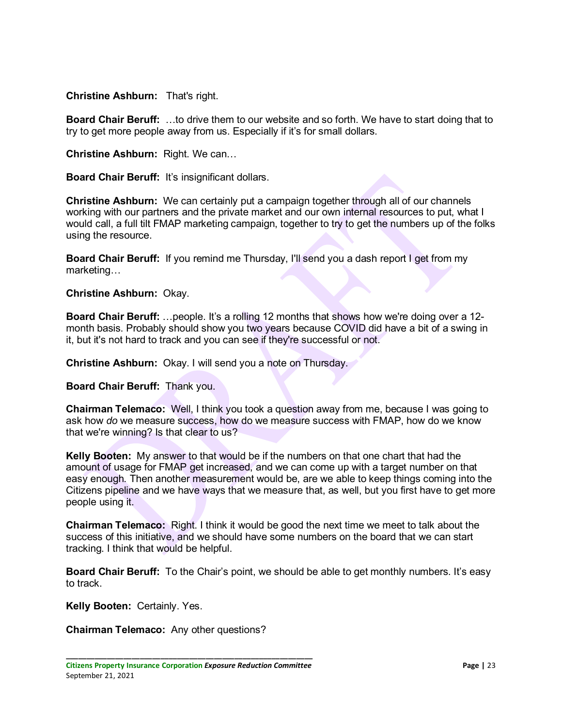**Christine Ashburn:** That's right.

**Board Chair Beruff:** …to drive them to our website and so forth. We have to start doing that to try to get more people away from us. Especially if it's for small dollars.

**Christine Ashburn:** Right. We can…

**Board Chair Beruff:** It's insignificant dollars.

**Christine Ashburn:** We can certainly put a campaign together through all of our channels working with our partners and the private market and our own internal resources to put, what I would call, a full tilt FMAP marketing campaign, together to try to get the numbers up of the folks using the resource.

**Board Chair Beruff:** If you remind me Thursday, I'll send you a dash report I get from my marketing…

#### **Christine Ashburn:** Okay.

**Board Chair Beruff:** …people. It's a rolling 12 months that shows how we're doing over a 12month basis. Probably should show you two years because COVID did have a bit of a swing in it, but it's not hard to track and you can see if they're successful or not.

**Christine Ashburn:** Okay. I will send you a note on Thursday.

**Board Chair Beruff:** Thank you.

**Chairman Telemaco:** Well, I think you took a question away from me, because I was going to ask how *do* we measure success, how do we measure success with FMAP, how do we know that we're winning? Is that clear to us?

**Kelly Booten:** My answer to that would be if the numbers on that one chart that had the amount of usage for FMAP get increased, and we can come up with a target number on that easy enough. Then another measurement would be, are we able to keep things coming into the Citizens pipeline and we have ways that we measure that, as well, but you first have to get more people using it.

**Chairman Telemaco:** Right. I think it would be good the next time we meet to talk about the success of this initiative, and we should have some numbers on the board that we can start tracking. I think that would be helpful.

**Board Chair Beruff:** To the Chair's point, we should be able to get monthly numbers. It's easy to track.

**Kelly Booten:** Certainly. Yes.

**Chairman Telemaco:** Any other questions?